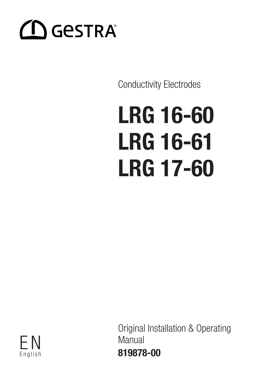# **CO** GeSTRA®

Conductivity Electrodes

# LRG 16-60 LRG 16-61 LRG 17-60



Original Installation & Operating Manual  $E_{\text{English}}$  Manual **819878-00**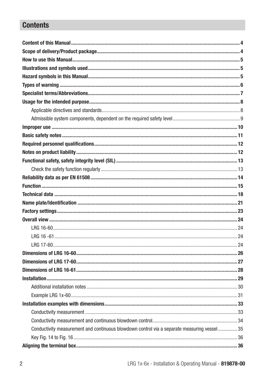# **Contents**

| Conductivity measurement and continuous blowdown control via a separate measuring vessel 35 |  |
|---------------------------------------------------------------------------------------------|--|
|                                                                                             |  |
|                                                                                             |  |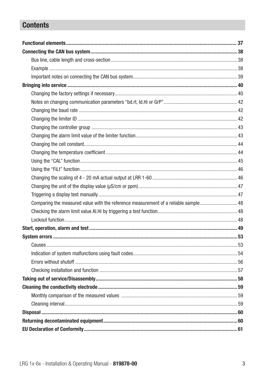# **Contents**

| Comparing the measured value with the reference measurement of a reliable sample 48 |  |
|-------------------------------------------------------------------------------------|--|
|                                                                                     |  |
|                                                                                     |  |
|                                                                                     |  |
|                                                                                     |  |
|                                                                                     |  |
|                                                                                     |  |
|                                                                                     |  |
|                                                                                     |  |
|                                                                                     |  |
|                                                                                     |  |
|                                                                                     |  |
|                                                                                     |  |
|                                                                                     |  |
|                                                                                     |  |
|                                                                                     |  |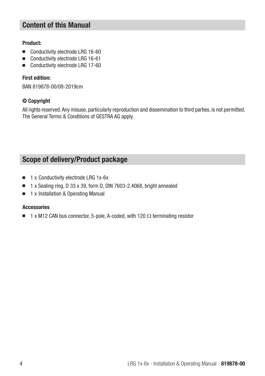# Content of this Manual

#### Product:

- Conductivity electrode LRG 16-60
- Conductivity electrode LRG 16-61
- Conductivity electrode LRG 17-60

#### First edition:

BAN 819878-00/08-2019cm

#### © Copyright

All rights reserved. Any misuse, particularly reproduction and dissemination to third parties, is not permitted. The General Terms & Conditions of GESTRA AG apply.

# Scope of delivery/Product package

- 1 x Conductivity electrode LRG 1x-6x
- 1 x Sealing ring, D 33 x 39, form D, DIN 7603-2.4068, bright annealed
- 1 x Installation & Operating Manual

#### Accessories

 $\blacksquare$  1 x M12 CAN bus connector, 5-pole, A-coded, with 120  $\Omega$  terminating resistor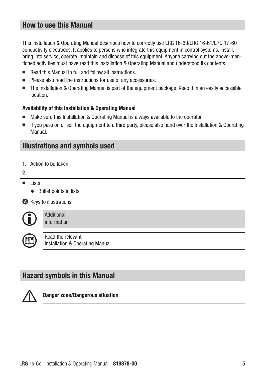# How to use this Manual

This Installation & Operating Manual describes how to correctly use LRG 16-60/LRG 16-61/LRG 17-60 conductivity electrodes. It applies to persons who integrate this equipment in control systems, install, bring into service, operate, maintain and dispose of this equipment. Anyone carrying out the above-mentioned activities must have read this Installation & Operating Manual and understood its contents.

- Read this Manual in full and follow all instructions.
- Please also read the instructions for use of any accessories.
- The Installation & Operating Manual is part of the equipment package. Keep it in an easily accessible location.

#### Availability of this Installation & Operating Manual

- Make sure this Installation & Operating Manual is always available to the operator.
- If you pass on or sell the equipment to a third party, please also hand over the Installation & Operating Manual.

### Illustrations and symbols used

- 1. Action to be taken
- 2.
- Lists
	- ◆ Bullet points in lists

**A** Keys to illustrations



Additional information



Read the relevant Installation & Operating Manual

# Hazard symbols in this Manual



Danger zone/Dangerous situation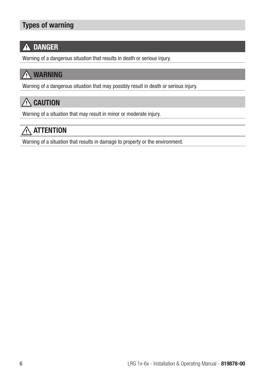# Types of warning

# **A DANGER**

Warning of a dangerous situation that results in death or serious injury.

# **NARNING**

Warning of a dangerous situation that may possibly result in death or serious injury.

# $\bigwedge$  CAUTION

Warning of a situation that may result in minor or moderate injury.

# $\wedge$  attention

Warning of a situation that results in damage to property or the environment.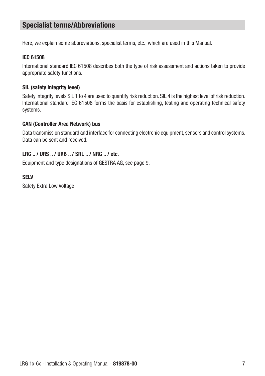### Specialist terms/Abbreviations

Here, we explain some abbreviations, specialist terms, etc., which are used in this Manual.

#### IEC 61508

International standard IEC 61508 describes both the type of risk assessment and actions taken to provide appropriate safety functions.

#### SIL (safety integrity level)

Safety integrity levels SIL 1 to 4 are used to quantify risk reduction. SIL 4 is the highest level of risk reduction. International standard IEC 61508 forms the basis for establishing, testing and operating technical safety systems.

#### CAN (Controller Area Network) bus

Data transmission standard and interface for connecting electronic equipment, sensors and control systems. Data can be sent and received.

#### LRG .. / URS .. / URB .. / SRL .. / NRG .. / etc.

Equipment and type designations of GESTRA AG, see page 9.

#### **SELV**

Safety Extra Low Voltage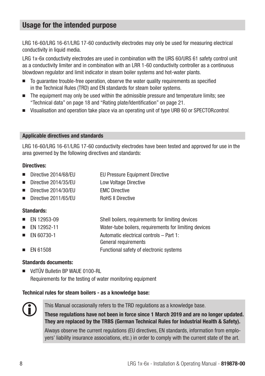# Usage for the intended purpose

LRG 16-60/LRG 16-61/LRG 17-60 conductivity electrodes may only be used for measuring electrical conductivity in liquid media.

LRG 1x-6x conductivity electrodes are used in combination with the URS 60/URS 61 safety control unit as a conductivity limiter and in combination with an LRR 1-60 conductivity controller as a continuous blowdown regulator and limit indicator in steam boiler systems and hot-water plants.

- To quarantee trouble-free operation, observe the water quality requirements as specified in the Technical Rules (TRD) and EN standards for steam boiler systems.
- The equipment may only be used within the admissible pressure and temperature limits; see "Technical data" on page 18 and "Rating plate/Identification" on page 21.
- Visualisation and operation take place via an operating unit of type URB 60 or SPECTOR *control*.

#### Applicable directives and standards

LRG 16-60/LRG 16-61/LRG 17-60 conductivity electrodes have been tested and approved for use in the area governed by the following directives and standards:

#### Directives:

- Directive 2014/68/EU EU Pressure Equipment Directive
- Directive 2014/35/EU Low Voltage Directive
- Directive 2014/30/FU FMC Directive
- Directive 2011/65/EU RoHS II Directive

#### Standards:

- EN 12953-09 Shell boilers, requirements for limiting devices
- EN 12952-11 Water-tube boilers, requirements for limiting devices
- EN 60730-1 Automatic electrical controls Part 1:

General requirements

■ EN 61508 Functional safety of electronic systems

#### Standards documents:

■ VdTÜV Bulletin BP WAUE 0100-RL Requirements for the testing of water monitoring equipment

#### Technical rules for steam boilers - as a knowledge base:



This Manual occasionally refers to the TRD regulations as a knowledge base.

These regulations have not been in force since 1 March 2019 and are no longer updated. They are replaced by the TRBS (German Technical Rules for Industrial Health & Safety).

Always observe the current regulations (EU directives, EN standards, information from employers' liability insurance associations, etc.) in order to comply with the current state of the art.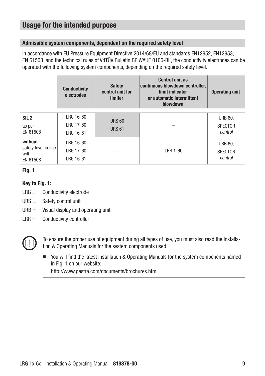# Usage for the intended purpose

#### Admissible system components, dependent on the required safety level

In accordance with EU Pressure Equipment Directive 2014/68/EU and standards EN12952, EN12953, EN 61508, and the technical rules of VdTÜV Bulletin BP WAUE 0100-RL, the conductivity electrodes can be operated with the following system components, depending on the required safety level.

|                                                     | <b>Conductivity</b><br>electrodes   | <b>Safety</b><br>control unit for<br><b>limiter</b> | <b>Control unit as</b><br>continuous blowdown controller,<br>limit indicator<br>or automatic intermittent<br>blowdown | <b>Operating unit</b>                       |
|-----------------------------------------------------|-------------------------------------|-----------------------------------------------------|-----------------------------------------------------------------------------------------------------------------------|---------------------------------------------|
| SIL <sub>2</sub><br>as per<br>EN 61508              | LRG 16-60<br>LRG 17-60<br>LRG 16-61 | <b>URS 60</b><br><b>URS 61</b>                      |                                                                                                                       | <b>URB 60.</b><br><b>SPECTOR</b><br>control |
| without<br>safety level in line<br>with<br>EN 61508 | LRG 16-60<br>LRG 17-60<br>LRG 16-61 |                                                     | LRR 1-60                                                                                                              | <b>URB 60.</b><br><b>SPECTOR</b><br>control |

#### Fig. 1

#### Key to Fig. 1:

- LRG = Conductivity electrode
- URS = Safety control unit
- $URB =$  Visual display and operating unit
- LRR = Conductivity controller



To ensure the proper use of equipment during all types of use, you must also read the Installation & Operating Manuals for the system components used.

■ You will find the latest Installation & Operating Manuals for the system components named in Fig. 1 on our website:

http://www.gestra.com/documents/brochures.html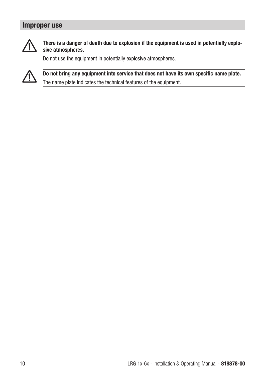### Improper use



#### There is a danger of death due to explosion if the equipment is used in potentially explosive atmospheres.

Do not use the equipment in potentially explosive atmospheres.



Do not bring any equipment into service that does not have its own specific name plate.

The name plate indicates the technical features of the equipment.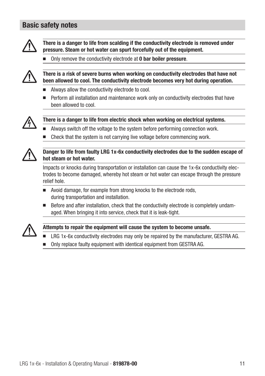### Basic safety notes



There is a danger to life from scalding if the conductivity electrode is removed under pressure. Steam or hot water can spurt forcefully out of the equipment.

Only remove the conductivity electrode at 0 bar boiler pressure.



There is a risk of severe burns when working on conductivity electrodes that have not been allowed to cool. The conductivity electrode becomes very hot during operation.

- Always allow the conductivity electrode to cool.
- Perform all installation and maintenance work only on conductivity electrodes that have been allowed to cool.



#### There is a danger to life from electric shock when working on electrical systems.

- Always switch off the voltage to the system before performing connection work.
- Check that the system is not carrying live voltage before commencing work.



#### Danger to life from faulty LRG 1x-6x conductivity electrodes due to the sudden escape of hot steam or hot water.

Impacts or knocks during transportation or installation can cause the 1x-6x conductivity electrodes to become damaged, whereby hot steam or hot water can escape through the pressure relief hole.

- Avoid damage, for example from strong knocks to the electrode rods, during transportation and installation.
- Before and after installation, check that the conductivity electrode is completely undamaged. When bringing it into service, check that it is leak-tight.



#### Attempts to repair the equipment will cause the system to become unsafe.

- LRG 1x-6x conductivity electrodes may only be repaired by the manufacturer, GESTRA AG.
- Only replace faulty equipment with identical equipment from GESTRA AG.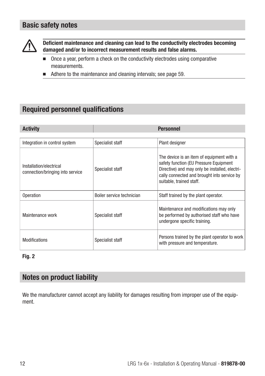# Basic safety notes



Deficient maintenance and cleaning can lead to the conductivity electrodes becoming damaged and/or to incorrect measurement results and false alarms.

- Once a year, perform a check on the conductivity electrodes using comparative measurements.
- Adhere to the maintenance and cleaning intervals; see page 59.

# Required personnel qualifications

| <b>Activity</b>                                             |                           | <b>Personnel</b>                                                                                                                                                                                                 |
|-------------------------------------------------------------|---------------------------|------------------------------------------------------------------------------------------------------------------------------------------------------------------------------------------------------------------|
| Integration in control system                               | Specialist staff          | Plant designer                                                                                                                                                                                                   |
| Installation/electrical<br>connection/bringing into service | Specialist staff          | The device is an item of equipment with a<br>safety function (EU Pressure Equipment<br>Directive) and may only be installed, electri-<br>cally connected and brought into service by<br>suitable, trained staff. |
| Operation                                                   | Boiler service technician | Staff trained by the plant operator.                                                                                                                                                                             |
| Maintenance work                                            | Specialist staff          | Maintenance and modifications may only<br>be performed by authorised staff who have<br>undergone specific training.                                                                                              |
| <b>Modifications</b>                                        | Specialist staff          | Persons trained by the plant operator to work<br>with pressure and temperature.                                                                                                                                  |

Fig. 2

### Notes on product liability

We the manufacturer cannot accept any liability for damages resulting from improper use of the equipment.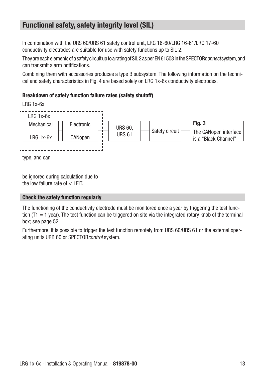# Functional safety, safety integrity level (SIL)

In combination with the URS 60/URS 61 safety control unit, LRG 16-60/LRG 16-61/LRG 17-60 conductivity electrodes are suitable for use with safety functions up to SIL 2.

They are each elements of a safety circuit up to a rating of SIL 2 as per EN 61508 in the SPECTORconnect system, and can transmit alarm notifications.

Combining them with accessories produces a type B subsystem. The following information on the technical and safety characteristics in Fig. 4 are based solely on LRG 1x-6x conductivity electrodes.

#### Breakdown of safety function failure rates (safety shutoff)

LRG 1x-6x



be ignored during calculation due to

the low failure rate of < 1FIT.

#### Check the safety function regularly

The functioning of the conductivity electrode must be monitored once a year by triggering the test function  $(T_1 = 1$  year). The test function can be triggered on site via the integrated rotary knob of the terminal box; see page 52.

Furthermore, it is possible to trigger the test function remotely from URS 60/URS 61 or the external operating units URB 60 or SPECTORcontrol system.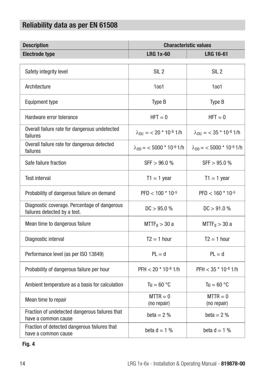# Reliability data as per EN 61508

| <b>Description</b>                                                           | <b>Characteristic values</b>                     |                                     |  |
|------------------------------------------------------------------------------|--------------------------------------------------|-------------------------------------|--|
| <b>Electrode type</b>                                                        | <b>LRG 1x-60</b>                                 | <b>LRG 16-61</b>                    |  |
|                                                                              |                                                  |                                     |  |
| Safety integrity level                                                       | SIL <sub>2</sub>                                 | SIL <sub>2</sub>                    |  |
| Architecture                                                                 | 1001                                             | 1001                                |  |
| <b>Equipment type</b>                                                        | Type B                                           | Type B                              |  |
| Hardware error tolerance                                                     | $HFT = 0$                                        | $HFT = 0$                           |  |
| Overall failure rate for dangerous undetected<br>failures                    | $\lambda_{DU} = 20 * 10^{-8}$ 1/h                | $\lambda_{DU} = 35 * 10^{-8}$ 1/h   |  |
| Overall failure rate for dangerous detected<br>failures                      | $\lambda_{DD}$ = < 5000 $*$ 10 <sup>-9</sup> 1/h | $\lambda_{DD} = 5000 * 10^{-9}$ 1/h |  |
| Safe failure fraction                                                        | SFF > 96.0 %                                     | SFF > 95.0 %                        |  |
| <b>Test interval</b>                                                         | $T1 = 1$ year                                    | $T1 = 1$ year                       |  |
| Probability of dangerous failure on demand                                   | $PFD < 100 * 10^{-5}$                            | $PFD < 160 * 10^{-5}$               |  |
| Diagnostic coverage. Percentage of dangerous<br>failures detected by a test. | DC > 95.0 %                                      | DC > 91.0 %                         |  |
| Mean time to dangerous failure                                               | $MTTF_d > 30a$                                   | $MTTF_d > 30$ a                     |  |
| Diagnostic interval                                                          | $T2 = 1$ hour                                    | $T2 = 1$ hour                       |  |
| Performance level (as per ISO 13849)                                         | $PL = d$                                         | $PL = d$                            |  |
| Probability of dangerous failure per hour                                    | $PFH < 20 * 10^{-8}$ 1/h                         | $PFH < 35 * 10^{-8}$ 1/h            |  |
| Ambient temperature as a basis for calculation                               | Tu = $60^{\circ}$ C                              | Tu = $60^{\circ}$ C                 |  |
| Mean time to repair                                                          | $MTTR = 0$<br>(no repair)                        | $MTTR = 0$<br>(no repair)           |  |
| Fraction of undetected dangerous failures that<br>have a common cause        | beta $= 2 \%$                                    | beta $= 2\%$                        |  |
| Fraction of detected dangerous failures that<br>have a common cause          | beta $d = 1$ %                                   | beta $d = 1$ %                      |  |

Fig. 4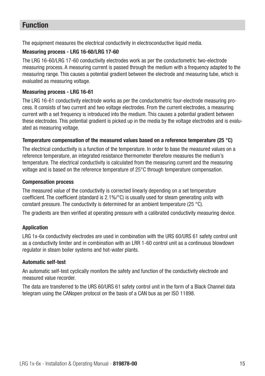# Function

The equipment measures the electrical conductivity in electroconductive liquid media.

#### Measuring process - LRG 16-60/LRG 17-60

The LRG 16-60/LRG 17-60 conductivity electrodes work as per the conductometric two-electrode measuring process. A measuring current is passed through the medium with a frequency adapted to the measuring range. This causes a potential gradient between the electrode and measuring tube, which is evaluated as measuring voltage.

#### Measuring process - LRG 16-61

The LRG 16-61 conductivity electrode works as per the conductometric four-electrode measuring process. It consists of two current and two voltage electrodes. From the current electrodes, a measuring current with a set frequency is introduced into the medium. This causes a potential gradient between these electrodes. This potential gradient is picked up in the media by the voltage electrodes and is evaluated as measuring voltage.

#### Temperature compensation of the measured values based on a reference temperature (25 °C)

The electrical conductivity is a function of the temperature. In order to base the measured values on a reference temperature, an integrated resistance thermometer therefore measures the medium's temperature. The electrical conductivity is calculated from the measuring current and the measuring voltage and is based on the reference temperature of 25°C through temperature compensation.

#### Compensation process

The measured value of the conductivity is corrected linearly depending on a set temperature coefficient. The coefficient (standard is 2.1%/°C) is usually used for steam generating units with constant pressure. The conductivity is determined for an ambient temperature (25 °C). The gradients are then verified at operating pressure with a calibrated conductivity measuring device.

#### Application

LRG 1x-6x conductivity electrodes are used in combination with the URS 60/URS 61 safety control unit as a conductivity limiter and in combination with an LRR 1-60 control unit as a continuous blowdown regulator in steam boiler systems and hot-water plants.

#### Automatic self-test

An automatic self-test cyclically monitors the safety and function of the conductivity electrode and measured value recorder.

The data are transferred to the URS 60/URS 61 safety control unit in the form of a Black Channel data telegram using the CANopen protocol on the basis of a CAN bus as per ISO 11898.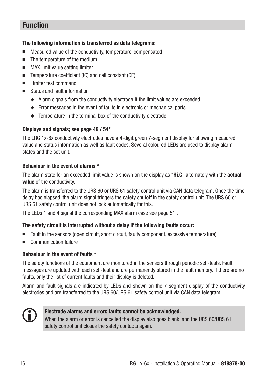# Function

#### The following information is transferred as data telegrams:

- Measured value of the conductivity, temperature-compensated
- The temperature of the medium
- MAX limit value setting limiter
- Temperature coefficient (tC) and cell constant (CF)
- Limiter test command
- Status and fault information
	- ◆ Alarm signals from the conductivity electrode if the limit values are exceeded
	- $\triangle$  Frror messages in the event of faults in electronic or mechanical parts
	- $\triangle$  Temperature in the terminal box of the conductivity electrode

#### Displays and signals; see page 49 / 54\*

The LRG 1x-6x conductivity electrodes have a 4-digit green 7-segment display for showing measured value and status information as well as fault codes. Several coloured LEDs are used to display alarm states and the set unit.

#### Behaviour in the event of alarms \*

The alarm state for an exceeded limit value is shown on the display as "**Hi.C**" alternately with the **actual** value of the conductivity.

The alarm is transferred to the URS 60 or URS 61 safety control unit via CAN data telegram. Once the time delay has elapsed, the alarm signal triggers the safety shutoff in the safety control unit. The URS 60 or URS 61 safety control unit does not lock automatically for this.

The LEDs 1 and 4 signal the corresponding MAX alarm case see page 51 .

#### The safety circuit is interrupted without a delay if the following faults occur:

- Fault in the sensors (open circuit, short circuit, faulty component, excessive temperature)
- Communication failure

#### Behaviour in the event of faults \*

The safety functions of the equipment are monitored in the sensors through periodic self-tests. Fault messages are updated with each self-test and are permanently stored in the fault memory. If there are no faults, only the list of current faults and their display is deleted.

Alarm and fault signals are indicated by LEDs and shown on the 7-segment display of the conductivity electrodes and are transferred to the URS 60/URS 61 safety control unit via CAN data telegram.



#### Electrode alarms and errors faults cannot be acknowledged.

When the alarm or error is cancelled the display also goes blank, and the URS 60/URS 61 safety control unit closes the safety contacts again.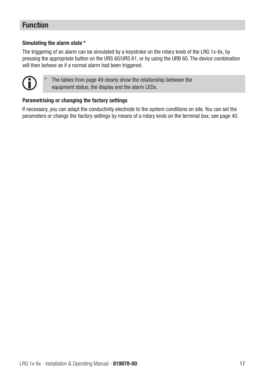# Function

#### Simulating the alarm state \*

The triggering of an alarm can be simulated by a keystroke on the rotary knob of the LRG 1x-6x, by pressing the appropriate button on the URS 60/URS 61, or by using the URB 60. The device combination will then behave as if a normal alarm had been triggered.



The tables from page 49 clearly show the relationship between the equipment status, the display and the alarm LEDs.

#### Parametrising or changing the factory settings

If necessary, you can adapt the conductivity electrode to the system conditions on site. You can set the parameters or change the factory settings by means of a rotary knob on the terminal box; see page 40.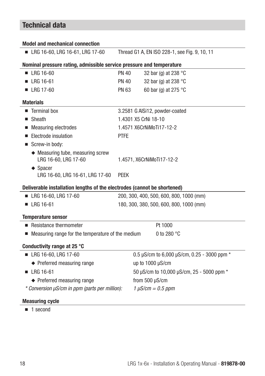# Technical data

| <b>Model and mechanical connection</b>                                   |              |                                               |  |
|--------------------------------------------------------------------------|--------------|-----------------------------------------------|--|
| ■ LRG 16-60, LRG 16-61, LRG 17-60                                        |              | Thread G1 A, EN ISO 228-1, see Fig. 9, 10, 11 |  |
| Nominal pressure rating, admissible service pressure and temperature     |              |                                               |  |
| $\blacksquare$ LRG 16-60                                                 | <b>PN 40</b> | 32 bar (g) at 238 $^{\circ}$ C                |  |
| $\blacksquare$ LRG 16-61                                                 | <b>PN 40</b> | 32 bar (g) at 238 °C                          |  |
| ■ LRG 17-60                                                              | <b>PN 63</b> | 60 bar (g) at 275 $\degree$ C                 |  |
| <b>Materials</b>                                                         |              |                                               |  |
| $\blacksquare$ Terminal box                                              |              | 3.2581 G AISi12, powder-coated                |  |
| $\blacksquare$ Sheath                                                    |              | 1.4301 X5 CrNi 18-10                          |  |
| <b>Measuring electrodes</b><br>п                                         |              | 1.4571 X6CrNiMoTi17-12-2                      |  |
| ■ Electrode insulation                                                   | <b>PTFE</b>  |                                               |  |
| Screw-in body:                                                           |              |                                               |  |
| ◆ Measuring tube, measuring screw                                        |              |                                               |  |
| LRG 16-60, LRG 17-60                                                     |              | 1.4571, X6CrNiMoTi17-12-2                     |  |
| $\triangleleft$ Spacer                                                   |              |                                               |  |
| LRG 16-60, LRG 16-61, LRG 17-60                                          | <b>PEEK</b>  |                                               |  |
| Deliverable installation lengths of the electrodes (cannot be shortened) |              |                                               |  |
| ■ LRG 16-60, LRG 17-60                                                   |              | 200, 300, 400, 500, 600, 800, 1000 (mm)       |  |
| $\blacksquare$ LRG 16-61                                                 |              | 180, 300, 380, 500, 600, 800, 1000 (mm)       |  |
| <b>Temperature sensor</b>                                                |              |                                               |  |
| ■ Resistance thermometer                                                 |              | Pt 1000                                       |  |
| 0 to 280 °C<br>■ Measuring range for the temperature of the medium       |              |                                               |  |
| Conductivity range at 25 °C                                              |              |                                               |  |
| ■ LRG 16-60, LRG 17-60                                                   |              | 0.5 µS/cm to 6,000 µS/cm, 0.25 - 3000 ppm $*$ |  |
| ◆ Preferred measuring range                                              |              | up to 1000 µS/cm                              |  |
| $\blacksquare$ LRG 16-61                                                 |              | 50 µS/cm to 10,000 µS/cm, 25 - 5000 ppm *     |  |
| ◆ Preferred measuring range                                              |              | from 500 µS/cm                                |  |
| * Conversion $\mu$ S/cm in ppm (parts per million):                      |              | $1 \mu$ S/cm = 0.5 ppm                        |  |
|                                                                          |              |                                               |  |

#### Measuring cycle

■ 1 second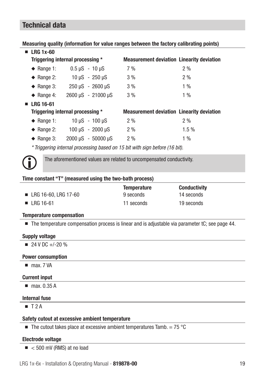# Technical data

Measuring quality (information for value ranges between the factory calibrating points)

| п. | <b>LRG 1x-60</b>     |                                                        |                                                  |         |
|----|----------------------|--------------------------------------------------------|--------------------------------------------------|---------|
|    |                      | Triggering internal processing *                       | <b>Measurement deviation Linearity deviation</b> |         |
|    | $\triangle$ Range 1: | $0.5 \,\mu S - 10 \,\mu S$                             | 7%                                               | $2\%$   |
|    | $\triangle$ Range 2: | $10 \mu S - 250 \mu S$                                 | $3\%$                                            | $2\%$   |
|    | $\triangle$ Range 3: | $250 \,\mu S - 2600 \,\mu S$                           | $3\%$                                            | $1\%$   |
|    | $\triangle$ Range 4: | 2600 µS - 21000 µS                                     | $3\%$                                            | $1\%$   |
| п. | <b>LRG 16-61</b>     |                                                        |                                                  |         |
|    |                      | Triggering internal processing *                       | <b>Measurement deviation Linearity deviation</b> |         |
|    | $\triangle$ Range 1: | $10 \mu S - 100 \mu S$                                 | $2\%$                                            | 2%      |
|    | $\triangle$ Range 2: | $100 \mu S - 2000 \mu S$                               | $2\%$                                            | $1.5\%$ |
|    | $\triangle$ Range 3: | $2000 \text{ }\mu\text{S} - 50000 \text{ }\mu\text{S}$ | $2\%$                                            | $1\%$   |
|    |                      |                                                        |                                                  |         |

*\* Triggering internal processing based on 15 bit with sign before (16 bit).*

The aforementioned values are related to uncompensated conductivity.

#### Time constant "T" (measured using the two-bath process)

|                                     | <b>Temperature</b> | <b>Conductivity</b> |
|-------------------------------------|--------------------|---------------------|
| $\blacksquare$ LRG 16-60, LRG 17-60 | 9 seconds          | 14 seconds          |
| $\blacksquare$ LRG 16-61            | 11 seconds         | 19 seconds          |

#### Temperature compensation

■ The temperature compensation process is linear and is adjustable via parameter tC; see page 44.

#### Supply voltage

 $\blacksquare$  24 V DC +/-20 %

#### Power consumption

■ max 7 VA

#### Current input

■ max 0.35 A

#### Internal fuse

■ T 2 A

#### Safety cutout at excessive ambient temperature

■ The cutout takes place at excessive ambient temperatures Tamb. =  $75 °C$ 

#### Electrode voltage

 $\blacksquare$  < 500 mV (RMS) at no load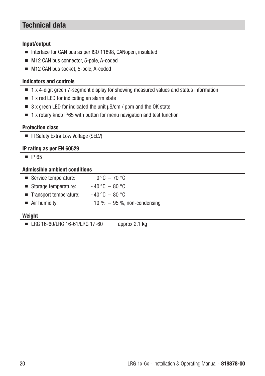# Technical data

#### Input/output

- Interface for CAN bus as per ISO 11898, CANopen, insulated
- M12 CAN bus connector, 5-pole, A-coded
- M12 CAN bus socket, 5-pole, A-coded

#### Indicators and controls

- 1 x 4-digit green 7-segment display for showing measured values and status information
- 1 x red LED for indicating an alarm state
- 3 x green LED for indicated the unit uS/cm / ppm and the OK state
- 1 x rotary knob IP65 with button for menu navigation and test function

#### Protection class

■ III Safety Extra Low Voltage (SELV)

#### IP rating as per EN 60529

■ IP 65

#### Admissible ambient conditions

| ■ Service temperature:       | $0^{\circ}$ C $-70^{\circ}$ C    |
|------------------------------|----------------------------------|
| Storage temperature:         | $-40\degree C - 80\degree C$     |
| ■ Transport temperature:     | $-40\degree C - 80\degree C$     |
| $\blacksquare$ Air humidity: | $10 \% - 95 \%$ , non-condensing |

#### Weight

■ LRG 16-60/LRG 16-61/LRG 17-60 approx 2.1 kg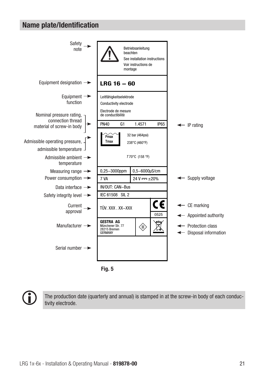# Name plate/Identification





The production date (quarterly and annual) is stamped in at the screw-in body of each conductivity electrode.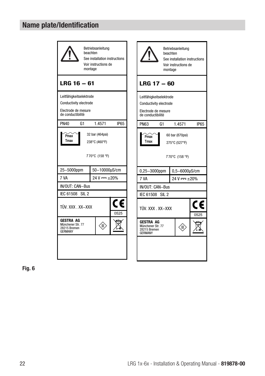# Name plate/Identification

|                                                                                               | Betriebsanleitung<br>beachten<br>See installation instructions<br>Voir instructions de<br>montage |                                                                                               | Betriebsanleitung<br>beachten<br>See installation instructions<br>Voir instructions de<br>montage |
|-----------------------------------------------------------------------------------------------|---------------------------------------------------------------------------------------------------|-----------------------------------------------------------------------------------------------|---------------------------------------------------------------------------------------------------|
| $LRG$ 16 $-61$                                                                                |                                                                                                   | LRG 17 - 60                                                                                   |                                                                                                   |
| Leitfähigkeitselektrode<br>Conductivity electrode<br>Electrode de mesure<br>de conductibilitè |                                                                                                   | Leitfähigkeitselektrode<br>Conductivity electrode<br>Electrode de mesure<br>de conductibilitè |                                                                                                   |
| G <sub>1</sub><br><b>PN40</b><br>Pmax<br>Tmax                                                 | <b>IP65</b><br>1.4571<br>32 bar (464psi)<br>238°C (460°F)<br>T70°C (158 °F)                       | <b>PN63</b><br>G1<br>Pmax<br><b>Tmax</b>                                                      | 1.4571<br>IP <sub>65</sub><br>60 bar (870psi)<br>275°C (527°F)<br>T70°C (158 °F)                  |
| 25-5000ppm                                                                                    | 50-10000µS/cm                                                                                     | $0,25 - 3000$ ppm                                                                             | 0,5-6000µS/cm                                                                                     |
| 7 VA                                                                                          | $24 \text{ V} = \pm 20\%$                                                                         | 7 VA                                                                                          | $24V = 20%$                                                                                       |
| IN/OUT: CAN-Bus                                                                               |                                                                                                   | IN/OUT: CAN-Bus                                                                               |                                                                                                   |
| IEC 61508 SIL 2                                                                               |                                                                                                   | IEC 61508 SIL 2                                                                               |                                                                                                   |
| TÜV XXX XX-XXX                                                                                | C€<br>0525                                                                                        | TÜV. XXX . XX-XXX                                                                             | C E<br>0525                                                                                       |
| <b>GESTRA AG</b><br>Münchener Str. 77<br>28215 Bremen<br><b>GERMANY</b>                       | ∕⊪)                                                                                               | <b>GESTRA AG</b><br>Münchener Str. 77<br>28215 Bremen<br><b>GERMANY</b>                       | ΊIΙ                                                                                               |
|                                                                                               |                                                                                                   |                                                                                               |                                                                                                   |

Fig. 6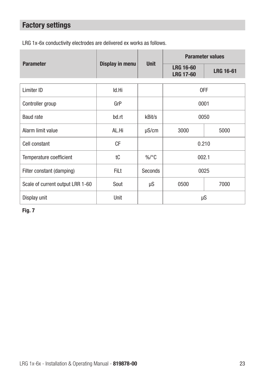# Factory settings

LRG 1x-6x conductivity electrodes are delivered ex works as follows.

|                                  |                 |             |                                      | <b>Parameter values</b> |
|----------------------------------|-----------------|-------------|--------------------------------------|-------------------------|
| <b>Parameter</b>                 | Display in menu | <b>Unit</b> | <b>LRG 16-60</b><br><b>LRG 17-60</b> | <b>LRG 16-61</b>        |
| Limiter ID                       | ld.Hi           |             |                                      | 0FF                     |
| Controller group                 | GrP             |             | 0001                                 |                         |
| <b>Baud rate</b>                 | bd.rt           | kBit/s      | 0050                                 |                         |
| Alarm limit value                | AL.Hi           | $\mu$ S/cm  | 3000<br>5000                         |                         |
| Cell constant                    | <b>CF</b>       |             | 0.210                                |                         |
| Temperature coefficient          | tC              | $\%$ /°C    | 002.1                                |                         |
| Filter constant (damping)        | FiLt            | Seconds     | 0025                                 |                         |
| Scale of current output LRR 1-60 | Sout            | μS          | 0500                                 | 7000                    |
| Display unit                     | Unit            |             | μS                                   |                         |

Fig. 7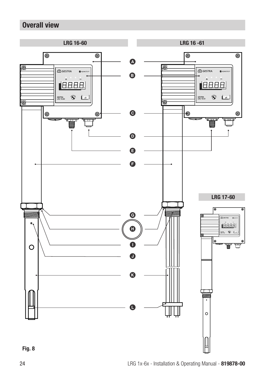# Overall view

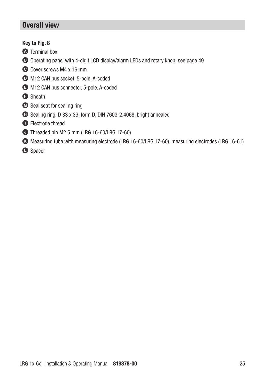# Overall view

#### Key to Fig. 8

- A Terminal box
- B Operating panel with 4-digit LCD display/alarm LEDs and rotary knob; see page 49
- C Cover screws M4 x 16 mm
- D M12 CAN bus socket, 5-pole, A-coded
- E M12 CAN bus connector, 5-pole, A-coded
- **B** Sheath
- G Seal seat for sealing ring
- $\bullet$  Sealing ring, D 33 x 39, form D, DIN 7603-2.4068, bright annealed
- $\bullet$  Electrode thread
- $\bullet$  Threaded pin M2.5 mm (LRG 16-60/LRG 17-60)
- K Measuring tube with measuring electrode (LRG 16-60/LRG 17-60), measuring electrodes (LRG 16-61)
- **O** Spacer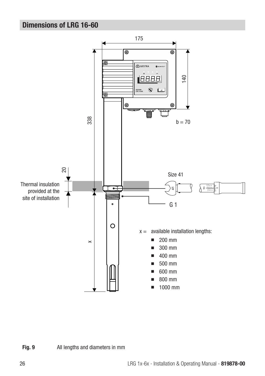# Dimensions of LRG 16-60



#### Fig. 9 All lengths and diameters in mm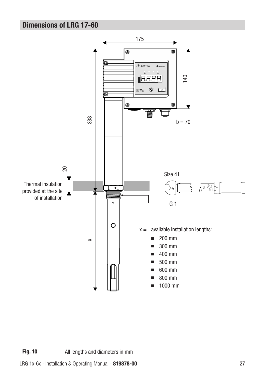# Dimensions of LRG 17-60

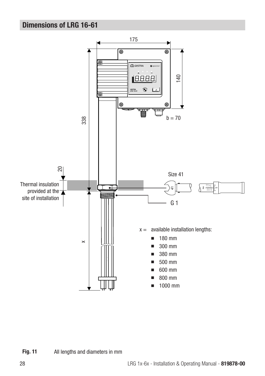# Dimensions of LRG 16-61

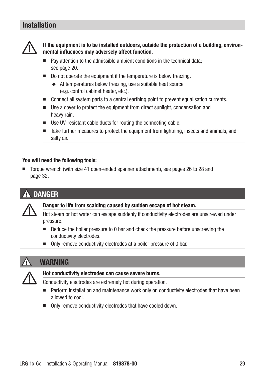

If the equipment is to be installed outdoors, outside the protection of a building, environmental influences may adversely affect function.

- Pay attention to the admissible ambient conditions in the technical data; see page 20.
- Do not operate the equipment if the temperature is below freezing.
	- ◆ At temperatures below freezing, use a suitable heat source (e.g. control cabinet heater, etc.).
- Connect all system parts to a central earthing point to prevent equalisation currents.
- Use a cover to protect the equipment from direct sunlight, condensation and heavy rain.
- Use UV-resistant cable ducts for routing the connecting cable.
- Take further measures to protect the equipment from lightning, insects and animals, and salty air.

#### You will need the following tools:

■ Torque wrench (with size 41 open-ended spanner attachment), see pages 26 to 28 and page 32.

# **DANGER**



Danger to life from scalding caused by sudden escape of hot steam.

Hot steam or hot water can escape suddenly if conductivity electrodes are unscrewed under pressure.

- Reduce the boiler pressure to 0 bar and check the pressure before unscrewing the conductivity electrodes.
- Only remove conductivity electrodes at a boiler pressure of 0 bar.

# WARNING



#### Hot conductivity electrodes can cause severe burns.

Conductivity electrodes are extremely hot during operation.

- Perform installation and maintenance work only on conductivity electrodes that have been allowed to cool.
- Only remove conductivity electrodes that have cooled down.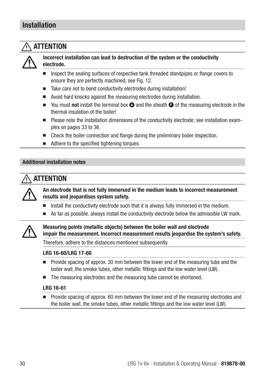# **ATTENTION**



#### Incorrect installation can lead to destruction of the system or the conductivity electrode.

- Inspect the sealing surfaces of respective tank threaded standpipes or flange covers to ensure they are perfectly machined; see Fig. 12.
- Take care not to bend conductivity electrodes during installation!
- Avoid hard knocks against the measuring electrodes during installation.
- $\blacksquare$  You must not install the terminal box  $\Omega$  and the sheath  $\Omega$  of the measuring electrode in the thermal insulation of the boiler!
- Please note the installation dimensions of the conductivity electrode: see installation examples on pages 33 to 36.
- Check the boiler connection and flange during the preliminary boiler inspection.
- Adhere to the specified tightening torques.

#### Additional installation notes

# **ATTENTION**



An electrode that is not fully immersed in the medium leads to incorrect measurement results and jeopardises system safety.

- Install the conductivity electrode such that it is always fully immersed in the medium.
- As far as possible, always install the conductivity electrode below the admissible LW mark.



Measuring points (metallic objects) between the boiler wall and electrode impair the measurement. Incorrect measurement results jeopardise the system's safety.

Therefore, adhere to the distances mentioned subsequently.

#### LRG 16-60/LRG 17-60

- Provide spacing of approx. 30 mm between the lower end of the measuring tube and the boiler wall, the smoke tubes, other metallic fittings and the low water level (LW).
- The measuring electrodes and the measuring tube cannot be shortened.

#### LRG 16-61

■ Provide spacing of approx. 60 mm between the lower end of the measuring electrodes and the boiler wall, the smoke tubes, other metallic fittings and the low water level (LW).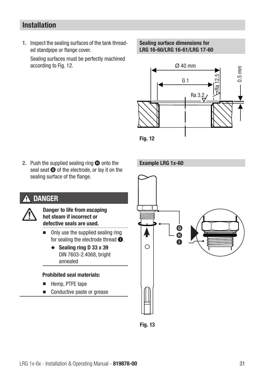1. Inspect the sealing surfaces of the tank threaded standpipe or flange cover.

Sealing surfaces must be perfectly machined according to Fig. 12. Ø 40 mm

#### Sealing surface dimensions for LRG 16-60/LRG 16-61/LRG 17-60



2. Push the supplied sealing ring  $\bullet$  onto the seal seat  $\bigcirc$  of the electrode, or lay it on the sealing surface of the flange.

#### Example LRG 1x-60

# DANGER



Danger to life from escaping hot steam if incorrect or defective seals are used.

- Only use the supplied sealing ring for sealing the electrode thread  $\bullet$ .
	- ◆ Sealing ring D 33 x 39 DIN 7603-2.4068, bright annealed

#### Prohibited seal materials:

- Hemp, PTFE tape
- Conductive paste or grease



Fig. 13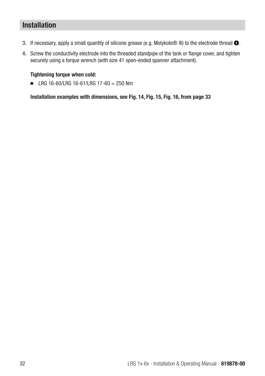- 3. If necessary, apply a small quantity of silicone grease (e.g. Molykote® III) to the electrode thread  $\bullet$ .
- 4. Screw the conductivity electrode into the threaded standpipe of the tank or flange cover, and tighten securely using a torque wrench (with size 41 open-ended spanner attachment).

#### Tightening torque when cold:

 $\blacksquare$  LRG 16-60/LRG 16-61/LRG 17-60 = 250 Nm

Installation examples with dimensions, see Fig. 14, Fig. 15, Fig. 16, from page 33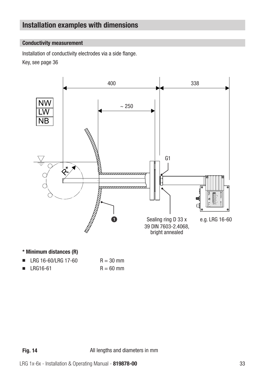#### Conductivity measurement

Installation of conductivity electrodes via a side flange.

Key, see page 36



\* Minimum distances (R)

- $\blacksquare$  LRG 16-60/LRG 17-60 R = 30 mm
- $R = 60$  mm
-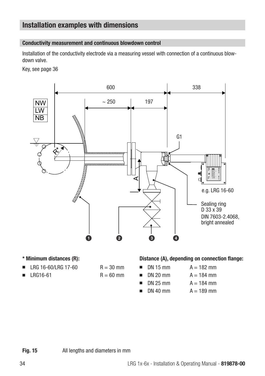#### Conductivity measurement and continuous blowdown control

Installation of the conductivity electrode via a measuring vessel with connection of a continuous blowdown valve.

Key, see page 36



- \* Minimum distances (R):
- $LRG$  16-60/LRG 17-60  $R = 30$  mm
- $R = 60$  mm

#### Distance (A), depending on connection flange:

 $\blacksquare$  DN 15 mm  $A = 182$  mm  $\blacksquare$  DN 20 mm  $A = 184$  mm  $\blacksquare$  DN 25 mm  $A = 184$  mm  $\blacksquare$  DN 40 mm  $A = 189$  mm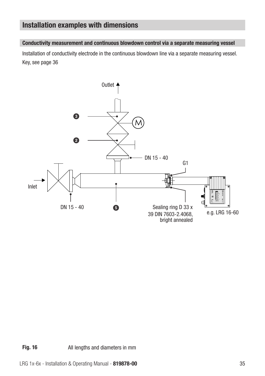#### Conductivity measurement and continuous blowdown control via a separate measuring vessel

Installation of conductivity electrode in the continuous blowdown line via a separate measuring vessel. Key, see page 36

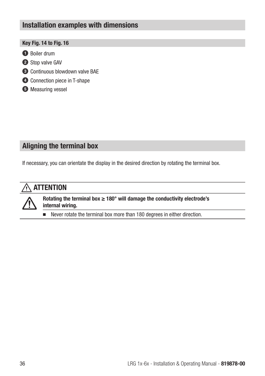#### Key Fig. 14 to Fig. 16

- **1** Boiler drum
- 2 Stop valve GAV
- <sup>3</sup> Continuous blowdown valve BAE
- **4** Connection piece in T-shape
- **5** Measuring vessel

# Aligning the terminal box

If necessary, you can orientate the display in the desired direction by rotating the terminal box.

# $\wedge$  attention

Rotating the terminal box  $\geq 180^\circ$  will damage the conductivity electrode's internal wiring.

■ Never rotate the terminal box more than 180 degrees in either direction.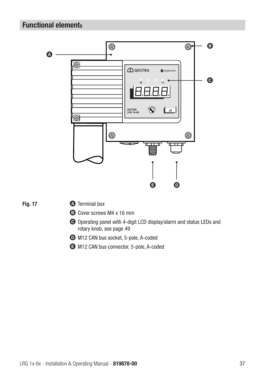# Functional elements



- C Operating panel with 4-digit LCD display/alarm and status LEDs and rotary knob, see page 49
- $\bullet$  M12 CAN bus socket, 5-pole, A-coded
- E M12 CAN bus connector, 5-pole, A-coded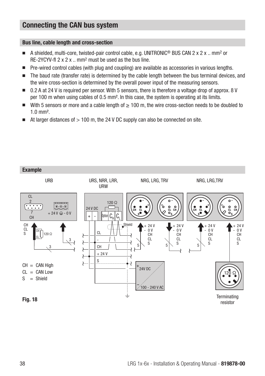# Connecting the CAN bus system

#### Bus line, cable length and cross-section

- A shielded, multi-core, twisted-pair control cable, e.g. UNITRONIC<sup>®</sup> BUS CAN 2 x 2 x .. mm<sup>2</sup> or RE-2YCYV-fl 2 x 2 x .. mm2 must be used as the bus line.
- Pre-wired control cables (with plug and coupling) are available as accessories in various lengths.
- The baud rate (transfer rate) is determined by the cable length between the bus terminal devices, and the wire cross-section is determined by the overall power input of the measuring sensors.
- 0.2 A at 24 V is required per sensor. With 5 sensors, there is therefore a voltage drop of approx. 8 V per 100 m when using cables of 0.5 mm². In this case, the system is operating at its limits.
- With 5 sensors or more and a cable length of ≥ 100 m, the wire cross-section needs to be doubled to 1.0 mm².
- $\blacksquare$  At larger distances of  $> 100$  m, the 24 V DC supply can also be connected on site.

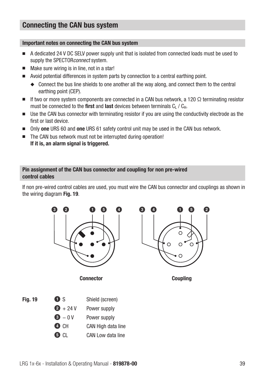# Connecting the CAN bus system

#### Important notes on connecting the CAN bus system

- A dedicated 24 V DC SFLV power supply unit that is isolated from connected loads must be used to supply the SPECTOR*connect* system.
- Make sure wiring is in line, not in a star!
- Avoid potential differences in system parts by connection to a central earthing point.
	- $\triangle$  Connect the bus line shields to one another all the way along, and connect them to the central earthing point (CEP).
- If two or more system components are connected in a CAN bus network, a 120  $\Omega$  terminating resistor must be connected to the first and last devices between terminals  $C_l$  /  $C_H$ .
- Use the CAN bus connector with terminating resistor if you are using the conductivity electrode as the first or last device.
- Only one URS 60 and one URS 61 safety control unit may be used in the CAN bus network.
- The CAN bus network must not be interrupted during operation! If it is, an alarm signal is triggered.

#### Pin assignment of the CAN bus connector and coupling for non pre-wired control cables

If non pre-wired control cables are used, you must wire the CAN bus connector and couplings as shown in the wiring diagram Fig. 19.



Connector Coupling



| w<br>۰. | ۰.<br>× |
|---------|---------|
|---------|---------|

| O S             | Shield (screen)          |
|-----------------|--------------------------|
| $2 + 24V$       | Power supply             |
| $\bullet$ - 0 V | Power supply             |
| <b>4</b> CH     | CAN High data line       |
| 6 CI            | <b>CAN Low data line</b> |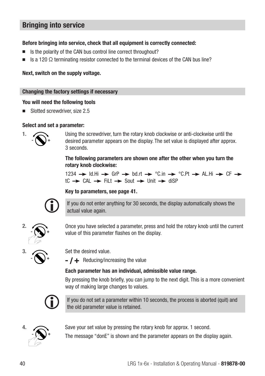#### Before bringing into service, check that all equipment is correctly connected:

- Is the polarity of the CAN bus control line correct throughout?
- Is a 120  $\Omega$  terminating resistor connected to the terminal devices of the CAN bus line?

#### Next, switch on the supply voltage.

#### Changing the factory settings if necessary

#### You will need the following tools

■ Slotted screwdriver, size 2.5

#### Select and set a parameter:



 Using the screwdriver, turn the rotary knob clockwise or anti-clockwise until the desired parameter appears on the display. The set value is displayed after approx. 3 seconds.

#### The following parameters are shown one after the other when you turn the rotary knob clockwise:

 $1234 \rightarrow$  Id.Hi  $\rightarrow$  GrP  $\rightarrow$  bd.rt  $\rightarrow$  °C.in  $\rightarrow$  °C.Pt  $\rightarrow$  AL.Hi  $\rightarrow$  CF  $\rightarrow$  $tC \rightarrow CA \rightarrow Filt \rightarrow Sout \rightarrow Unit \rightarrow disP$ 

#### Key to parameters, see page 41.



If you do not enter anything for 30 seconds, the display automatically shows the actual value again.



Once you have selected a parameter, press and hold the rotary knob until the current value of this parameter flashes on the display.



Set the desired value.

 $\blacktriangleright$  **F** Reducing/increasing the value

#### Each parameter has an individual, admissible value range.

By pressing the knob briefly, you can jump to the next digit. This is a more convenient way of making large changes to values.



If you do not set a parameter within 10 seconds, the process is aborted (quit) and the old parameter value is retained.



Save your set value by pressing the rotary knob for approx. 1 second.

The message "donE" is shown and the parameter appears on the display again.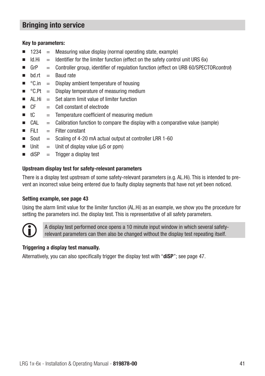#### Key to parameters:

- $1234 =$  Measuring value display (normal operating state, example)
- $\blacksquare$  Id.Hi  $=$  Identifier for the limiter function (effect on the safety control unit URS 6x)
- GrP = Controller group, identifier of regulation function (effect on URB 60/SPECTOR *control*)
- **bd.rt** = Baud rate
- $\blacksquare$   $\degree$ C.in = Display ambient temperature of housing
- $\blacksquare$  °C.Pt = Display temperature of measuring medium
- $AL.Hi = Set alarm limit value of limiter function$
- $\blacksquare$  CF  $\blacksquare$  Cell constant of electrode
- $\blacksquare$  tC = Temperature coefficient of measuring medium
- $\blacksquare$  CAL  $\blacksquare$  Calibration function to compare the display with a comparative value (sample)
- $\blacksquare$  Filt  $\blacksquare$  Filter constant
- $\blacksquare$  Sout  $=$  Scaling of 4-20 mA actual output at controller LRR 1-60
- Unit  $=$  Unit of display value (uS or ppm)
- $\blacksquare$  diSP = Trigger a display test

#### Upstream display test for safety-relevant parameters

There is a display test upstream of some safety-relevant parameters (e.g. AL.Hi). This is intended to prevent an incorrect value being entered due to faulty display segments that have not yet been noticed.

#### Setting example, see page 43

Using the alarm limit value for the limiter function (AL.Hi) as an example, we show you the procedure for setting the parameters incl. the display test. This is representative of all safety parameters.



A display test performed once opens a 10 minute input window in which several safetyrelevant parameters can then also be changed without the display test repeating itself.

#### Triggering a display test manually.

Alternatively, you can also specifically trigger the display test with "**diSP**"; see page 47.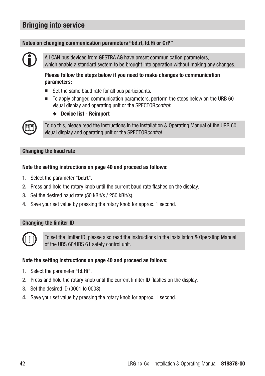#### Notes on changing communication parameters "bd.rt, Id.Hi or GrP"

All CAN bus devices from GESTRA AG have preset communication parameters, which enable a standard system to be brought into operation without making any changes.

Please follow the steps below if you need to make changes to communication parameters:

- Set the same baud rate for all bus participants.
- To apply changed communication parameters, perform the steps below on the URB 60 visual display and operating unit or the SPECTORcontrol:
	- ◆ Device list Reimport



To do this, please read the instructions in the Installation & Operating Manual of the URB 60 visual display and operating unit or the SPECTORcontrol.

#### Changing the baud rate

#### Note the setting instructions on page 40 and proceed as follows:

- 1. Select the parameter "bd.rt".
- 2. Press and hold the rotary knob until the current baud rate flashes on the display.
- 3. Set the desired baud rate (50 kBit/s / 250 kBit/s).
- 4. Save your set value by pressing the rotary knob for approx. 1 second.

#### Changing the limiter ID



To set the limiter ID, please also read the instructions in the Installation & Operating Manual of the URS 60/URS 61 safety control unit.

#### Note the setting instructions on page 40 and proceed as follows:

- 1. Select the parameter "Id.Hi".
- 2. Press and hold the rotary knob until the current limiter ID flashes on the display.
- 3. Set the desired ID (0001 to 0008).
- 4. Save your set value by pressing the rotary knob for approx. 1 second.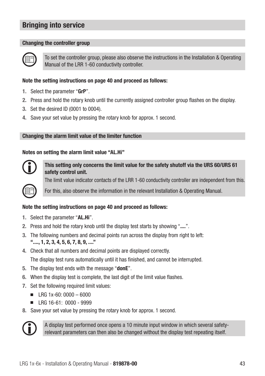#### Changing the controller group



To set the controller group, please also observe the instructions in the Installation & Operating Manual of the LRR 1-60 conductivity controller.

#### Note the setting instructions on page 40 and proceed as follows:

- 1. Select the parameter "GrP".
- 2. Press and hold the rotary knob until the currently assigned controller group flashes on the display.
- 3. Set the desired ID (0001 to 0004).
- 4. Save your set value by pressing the rotary knob for approx. 1 second.

#### Changing the alarm limit value of the limiter function

#### Notes on setting the alarm limit value "AL.Hi"



This setting only concerns the limit value for the safety shutoff via the URS 60/URS 61 safety control unit.

The limit value indicator contacts of the LRR 1-60 conductivity controller are independent from this.

For this, also observe the information in the relevant Installation & Operating Manual.

#### Note the setting instructions on page 40 and proceed as follows:

- 1. Select the parameter "AL.Hi".
- 2. Press and hold the rotary knob until the display test starts by showing "....".
- 3. The following numbers and decimal points run across the display from right to left: "...., 1, 2, 3, 4, 5, 6, 7, 8, 9, ...."
- 4. Check that all numbers and decimal points are displayed correctly. The display test runs automatically until it has finished, and cannot be interrupted.
- 5. The display test ends with the message "donE".
- 6. When the display test is complete, the last digit of the limit value flashes.
- 7. Set the following required limit values:
	- $\blacksquare$  LRG 1x-60: 0000 6000
	- LRG 16-61: 0000 9999
- 8. Save your set value by pressing the rotary knob for approx. 1 second.



A display test performed once opens a 10 minute input window in which several safetyrelevant parameters can then also be changed without the display test repeating itself.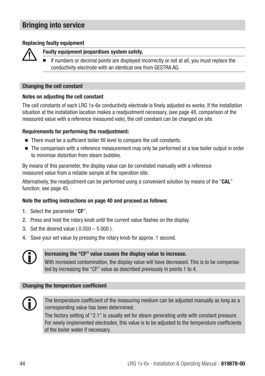#### Replacing faulty equipment



- Faulty equipment jeopardises system safety.
- If numbers or decimal points are displayed incorrectly or not at all, you must replace the conductivity electrode with an identical one from GESTRA AG.

#### Changing the cell constant

#### Notes on adjusting the cell constant

The cell constants of each LRG 1x-6x conductivity electrode is finely adjusted ex works. If the installation situation at the installation location makes a readjustment necessary, (see page 48, comparison of the measured value with a reference measured vale), the cell constant can be changed on site.

#### Requirements for performing the readjustment:

- There must be a sufficient boiler fill level to compare the cell constants.
- The comparison with a reference measurement may only be performed at a low boiler output in order to minimise distortion from steam bubbles.

By means of this parameter, the display value can be correlated manually with a reference measured value from a reliable sample at the operation site.

Alternatively, the readjustment can be performed using a convenient solution by means of the "**CAL**" function; see page 45.

#### Note the setting instructions on page 40 and proceed as follows:

- 1. Select the parameter "CF".
- 2. Press and hold the rotary knob until the current value flashes on the display.
- 3. Set the desired value ( 0.050 5.000 ).
- 4. Save your set value by pressing the rotary knob for approx. 1 second.



#### Increasing the "CF" value causes the display value to increase.

With increased contamination, the display value will have decreased. This is to be compensated by increasing the "CF" value as described previously in points 1 to 4.

#### Changing the temperature coefficient



The temperature coefficient of the measuring medium can be adjusted manually as long as a corresponding value has been determined.

The factory setting of "2.1" is usually set for steam generating units with constant pressure. For newly implemented electrodes, this value is to be adjusted to the temperature coefficients of the boiler water if necessary.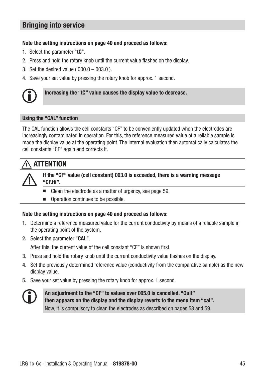#### Note the setting instructions on page 40 and proceed as follows:

- 1. Select the parameter "tC".
- 2. Press and hold the rotary knob until the current value flashes on the display.
- 3. Set the desired value ( 000.0 003.0 ).
- 4. Save your set value by pressing the rotary knob for approx. 1 second.



Increasing the "tC" value causes the display value to decrease.

#### Using the "CAL" function

The CAL function allows the cell constants "CF" to be conveniently updated when the electrodes are increasingly contaminated in operation. For this, the reference measured value of a reliable sample is made the display value at the operating point. The internal evaluation then automatically calculates the cell constants "CF" again and corrects it.

# **ATTENTION**



If the "CF" value (cell constant) 003.0 is exceeded, there is a warning message "CF.Hi".

- Clean the electrode as a matter of urgency, see page 59.
- Operation continues to be possible.

#### Note the setting instructions on page 40 and proceed as follows:

- 1. Determine a reference measured value for the current conductivity by means of a reliable sample in the operating point of the system.
- 2. Select the parameter "CAL".

After this, the current value of the cell constant "CF" is shown first.

- 3. Press and hold the rotary knob until the current conductivity value flashes on the display.
- 4. Set the previously determined reference value (conductivity from the comparative sample) as the new display value.
- 5. Save your set value by pressing the rotary knob for approx. 1 second.



An adjustment to the "CF" to values over 005.0 is cancelled. "Quit" then appears on the display and the display reverts to the menu item "cal". Now, it is compulsory to clean the electrodes as described on pages 58 and 59.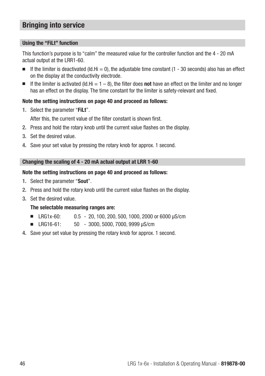#### Using the "FiLt" function

This function's purpose is to "calm" the measured value for the controller function and the 4 - 20 mA actual output at the LRR1-60.

- $\blacksquare$  If the limiter is deactivated (Id.Hi = 0), the adjustable time constant (1 30 seconds) also has an effect on the display at the conductivity electrode.
- **■** If the limiter is activated ( $\text{Id}$ .Hi = 1 8), the filter does **not** have an effect on the limiter and no longer has an effect on the display. The time constant for the limiter is safety-relevant and fixed.

#### Note the setting instructions on page 40 and proceed as follows:

1. Select the parameter "FiLt".

After this, the current value of the filter constant is shown first.

- 2. Press and hold the rotary knob until the current value flashes on the display.
- 3. Set the desired value.
- 4. Save your set value by pressing the rotary knob for approx. 1 second.

#### Changing the scaling of 4 - 20 mA actual output at LRR 1-60

#### Note the setting instructions on page 40 and proceed as follows:

- 1. Select the parameter "Sout".
- 2. Press and hold the rotary knob until the current value flashes on the display.
- 3. Set the desired value.

#### The selectable measuring ranges are:

- LRG1x-60: 0.5 20, 100, 200, 500, 1000, 2000 or 6000 uS/cm
- LRG16-61: 50 3000, 5000, 7000, 9999 µS/cm
- 4. Save your set value by pressing the rotary knob for approx. 1 second.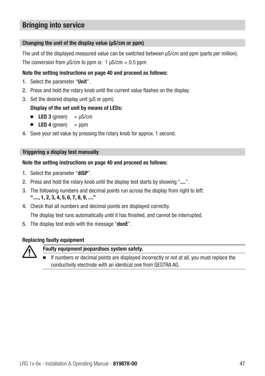#### Changing the unit of the display value (µS/cm or ppm)

The unit of the displayed measured value can be switched between uS/cm and ppm (parts per million). The conversion from  $\mu$ S/cm to ppm is: 1  $\mu$ S/cm = 0.5 ppm

#### Note the setting instructions on page 40 and proceed as follows:

- 1. Select the parameter "Unit".
- 2. Press and hold the rotary knob until the current value flashes on the display.
- 3. Set the desired display unit ( $\mu$ S or ppm).

#### Display of the set unit by means of LEDs:

- $\blacksquare$  LED 3 (green)  $= \mu S/cm$
- $\blacksquare$  LED 4 (green)  $=$  ppm
- 4. Save your set value by pressing the rotary knob for approx. 1 second.

#### Triggering a display test manually

#### Note the setting instructions on page 40 and proceed as follows:

- 1. Select the parameter "diSP".
- 2. Press and hold the rotary knob until the display test starts by showing "....".
- 3. The following numbers and decimal points run across the display from right to left: "...., 1, 2, 3, 4, 5, 6, 7, 8, 9, ...."
- 4. Check that all numbers and decimal points are displayed correctly. The display test runs automatically until it has finished, and cannot be interrupted.
- 5. The display test ends with the message "donE".

#### Replacing faulty equipment



#### Faulty equipment jeopardises system safety.

If numbers or decimal points are displayed incorrectly or not at all, you must replace the conductivity electrode with an identical one from GESTRA AG.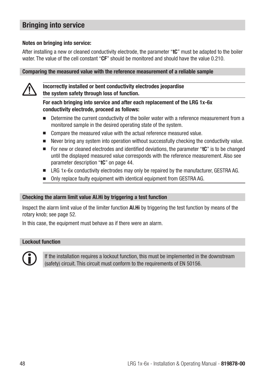#### Notes on bringing into service:

After installing a new or cleaned conductivity electrode, the parameter "tC" must be adapted to the boiler water. The value of the cell constant "CF" should be monitored and should have the value 0.210

#### Comparing the measured value with the reference measurement of a reliable sample



#### Incorrectly installed or bent conductivity electrodes jeopardise the system safety through loss of function.

#### For each bringing into service and after each replacement of the LRG 1x-6x conductivity electrode, proceed as follows:

- Determine the current conductivity of the boiler water with a reference measurement from a monitored sample in the desired operating state of the system.
- Compare the measured value with the actual reference measured value.
- Never bring any system into operation without successfully checking the conductivity value.
- For new or cleaned electrodes and identified deviations, the parameter " $\mathbf{t}$ C" is to be changed until the displayed measured value corresponds with the reference measurement. Also see parameter description "tC" on page 44.
- LRG 1x-6x conductivity electrodes may only be repaired by the manufacturer, GESTRA AG.
- Only replace faulty equipment with identical equipment from GESTRA AG.

#### Checking the alarm limit value Al.Hi by triggering a test function

Inspect the alarm limit value of the limiter function Al.Hi by triggering the test function by means of the rotary knob; see page 52.

In this case, the equipment must behave as if there were an alarm.

#### Lockout function



If the installation requires a lockout function, this must be implemented in the downstream (safety) circuit. This circuit must conform to the requirements of EN 50156.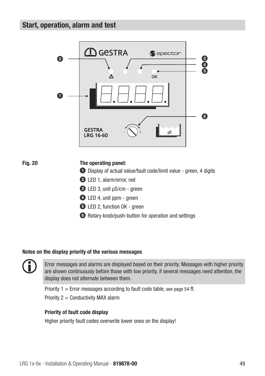

- <sup>2</sup> LED 1, alarm/error, red
- <sup>3</sup> LED 3, unit µS/cm green
- <sup>4</sup> LED 4, unit ppm green
- **6** LED 2, function OK green
- 6 Rotary knob/push-button for operation and settings

#### Notes on the display priority of the various messages

Error messages and alarms are displayed based on their priority. Messages with higher priority are shown continuously before those with low priority. if several messages need attention, the display does not alternate between them.

Priority  $1 =$  Error messages according to fault code table, see page 54 ff.

Priority 2 = Conductivity MAX alarm

#### Priority of fault code display

Higher priority fault codes overwrite lower ones on the display!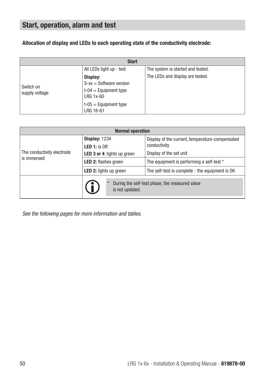#### Allocation of display and LEDs to each operating state of the conductivity electrode:

| <b>Start</b>                |                                                                                  |                                   |
|-----------------------------|----------------------------------------------------------------------------------|-----------------------------------|
|                             | All LEDs light up - test                                                         | The system is started and tested. |
| Switch on<br>supply voltage | Display:<br>$S$ -xx = Software version<br>$t-04 =$ Equipment type<br>$LRG$ 1x-60 | The LEDs and display are tested.  |
|                             | $t-05$ = Equipment type<br>LRG 16-61                                             |                                   |

| <b>Normal operation</b>                   |                               |                                                                 |  |
|-------------------------------------------|-------------------------------|-----------------------------------------------------------------|--|
| Display: 1234<br><b>LED 1:</b> is $Off$   |                               | Display of the current, temperature-compensated<br>conductivity |  |
| The conductivity electrode<br>is immersed | LED 3 or 4: lights up green   | Display of the set unit                                         |  |
|                                           | LED 2: flashes green          | The equipment is performing a self-test *                       |  |
|                                           | <b>LED 2: lights up green</b> | The self-test is complete - the equipment is OK                 |  |
|                                           | $\star$<br>is not updated.    | During the self-test phase, the measured value                  |  |

*See the following pages for more information and tables.*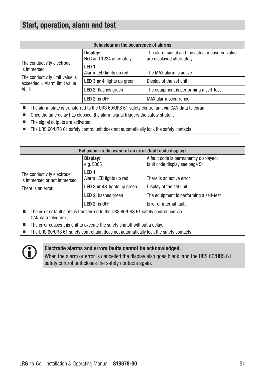| <b>Behaviour on the occurrence of alarms</b>                                                                   |                                                 |                                                                             |
|----------------------------------------------------------------------------------------------------------------|-------------------------------------------------|-----------------------------------------------------------------------------|
| The conductivity electrode<br>is immersed<br>The conductivity limit value is<br>$exceeded =$ Alarm limit value | Display:<br>Hi.C and 1234 alternately<br>LED 1: | The alarm signal and the actual measured value<br>are displayed alternately |
|                                                                                                                | Alarm LED lights up red                         | The MAX alarm is active                                                     |
|                                                                                                                | <b>LED 3 or 4: lights up green</b>              | Display of the set unit                                                     |
| AL.Hi                                                                                                          | <b>LED 2: flashes green</b>                     | The equipment is performing a self-test                                     |
|                                                                                                                | <b>LED 2:</b> is $0FF$                          | MAX alarm occurrence                                                        |
| The classes that is to consider the HDO COUDO OF selection control with the OAM data to lower                  |                                                 |                                                                             |

- The alarm state is transferred to the URS 60/URS 61 safety control unit via CAN data telegram.
- Once the time delay has elapsed, the alarm signal triggers the safety shutoff.
- The signal outputs are activated.
- The URS 60/URS 61 safety control unit does not automatically lock the safety contacts.

| Behaviour in the event of an error (fault code display)                                   |                                     |                                                                          |
|-------------------------------------------------------------------------------------------|-------------------------------------|--------------------------------------------------------------------------|
|                                                                                           | Display:<br>e.g. E005               | A fault code is permanently displayed;<br>fault code display see page 54 |
| The conductivity electrode<br>is immersed or not immersed.                                | LED 1:<br>Alarm LED lights up red   | There is an active error                                                 |
| There is an error.                                                                        | <b>LED 3 or 43: lights up green</b> | Display of the set unit                                                  |
|                                                                                           | LED 2: flashes green                | The equipment is performing a self-test                                  |
|                                                                                           | <b>LED 2:</b> is $OFF$              | Error or internal fault                                                  |
| The error or fault state is transferred to the URS 60/URS 61 safety control unit via<br>. |                                     |                                                                          |

- CAN data telegram.
- The error causes this unit to execute the safety shutoff without a delay.
- The URS 60/URS 61 safety control unit does not automatically lock the safety contacts.



#### Electrode alarms and errors faults cannot be acknowledged.

When the alarm or error is cancelled the display also goes blank, and the URS 60/URS 61 safety control unit closes the safety contacts again.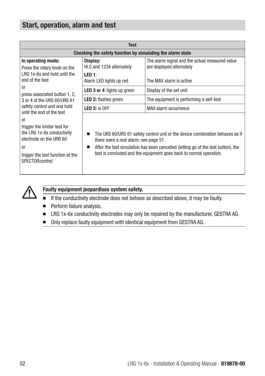| <b>Test</b>                                                                                                                                                         |                                                                            |                                                                                                                                                                                                                                          |  |  |
|---------------------------------------------------------------------------------------------------------------------------------------------------------------------|----------------------------------------------------------------------------|------------------------------------------------------------------------------------------------------------------------------------------------------------------------------------------------------------------------------------------|--|--|
|                                                                                                                                                                     | Checking the safety function by simulating the alarm state                 |                                                                                                                                                                                                                                          |  |  |
| In operating mode:<br>Press the rotary knob on the<br>LRG 1x-6x and hold until the<br>end of the test                                                               | Display:<br>Hi.C and 1234 alternately<br>LED 1:<br>Alarm LED lights up red | The alarm signal and the actual measured value<br>are displayed alternately<br>The MAX alarm is active                                                                                                                                   |  |  |
| <sub>0r</sub><br>press associated button 1, 2,                                                                                                                      | <b>LED 3 or 4: lights up green</b>                                         | Display of the set unit                                                                                                                                                                                                                  |  |  |
| 3 or 4 of the URS 60/URS 61                                                                                                                                         | <b>LED 2: flashes green</b>                                                | The equipment is performing a self-test                                                                                                                                                                                                  |  |  |
| safety control unit and hold<br>until the end of the test                                                                                                           | <b>LED 2:</b> is $0FF$                                                     | MAX alarm occurrence                                                                                                                                                                                                                     |  |  |
| <sub>0r</sub><br>trigger the limiter test for<br>the LRG 1x-6x conductivity<br>electrode on the URB 60<br>or<br>trigger the test function at the<br>SPECTORcontrol. | ш<br>there were a real alarm; see page 51.                                 | The URS 60/URS 61 safety control unit or the device combination behaves as if<br>After the test simulation has been cancelled (letting go of the test button), the<br>test is concluded and the equipment goes back to normal operation. |  |  |



#### Faulty equipment jeopardises system safety.

- If the conductivity electrode does not behave as described above, it may be faulty.
- Perform failure analysis.
- LRG 1x-6x conductivity electrodes may only be repaired by the manufacturer, GESTRA AG.
- Only replace faulty equipment with identical equipment from GESTRA AG.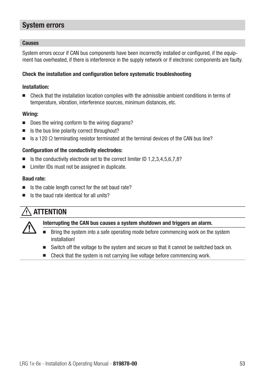#### Causes

System errors occur if CAN bus components have been incorrectly installed or configured, if the equipment has overheated, if there is interference in the supply network or if electronic components are faulty.

#### Check the installation and configuration before systematic troubleshooting

#### Installation:

Check that the installation location complies with the admissible ambient conditions in terms of temperature, vibration, interference sources, minimum distances, etc.

#### Wiring:

- Does the wiring conform to the wiring diagrams?
- Is the bus line polarity correct throughout?
- $\blacksquare$  Is a 120  $\Omega$  terminating resistor terminated at the terminal devices of the CAN bus line?

#### Configuration of the conductivity electrodes:

- Is the conductivity electrode set to the correct limiter ID 1,2,3,4,5,6,7,8?
- Limiter IDs must not be assigned in duplicate.

#### Baud rate:

- Is the cable length correct for the set baud rate?
- Is the baud rate identical for all units?

# $\hat{\ }$  attention

#### Interrupting the CAN bus causes a system shutdown and triggers an alarm.

- Bring the system into a safe operating mode before commencing work on the system **installation!**
- Switch off the voltage to the system and secure so that it cannot be switched back on.
- Check that the system is not carrying live voltage before commencing work.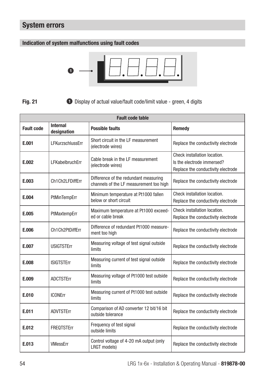### Indication of system malfunctions using fault codes



Fig. 21 **1** Display of actual value/fault code/limit value - green, 4 digits

| <b>Fault code table</b> |                                |                                                                                  |                                                                                                  |
|-------------------------|--------------------------------|----------------------------------------------------------------------------------|--------------------------------------------------------------------------------------------------|
| <b>Fault code</b>       | <b>Internal</b><br>designation | <b>Possible faults</b>                                                           | Remedy                                                                                           |
| E.001                   | LFKurzschlussErr               | Short circuit in the LF measurement<br>(electrode wires)                         | Replace the conductivity electrode                                                               |
| E.002                   | LFKabelbruchErr                | Cable break in the LF measurement<br>(electrode wires)                           | Check installation location.<br>Is the electrode immersed?<br>Replace the conductivity electrode |
| E.003                   | Ch1Ch2LFDiffErr                | Difference of the redundant measuring<br>channels of the LF measurement too high | Replace the conductivity electrode                                                               |
| E.004                   | PtMinTempErr                   | Minimum temperature at Pt1000 fallen<br>below or short circuit                   | Check installation location.<br>Replace the conductivity electrode                               |
| E.005                   | PtMaxtempErr                   | Maximum temperature at Pt1000 exceed-<br>ed or cable break                       | Check installation location.<br>Replace the conductivity electrode                               |
| E.006                   | Ch1Ch2PtDiffErr                | Difference of redundant Pt1000 measure-<br>ment too high                         | Replace the conductivity electrode                                                               |
| E.007                   | <b>USIGTSTErr</b>              | Measuring voltage of test signal outside<br>limits                               | Replace the conductivity electrode                                                               |
| E.008                   | <b>ISIGTSTErr</b>              | Measuring current of test signal outside<br>limits                               | Replace the conductivity electrode                                                               |
| E.009                   | <b>ADCTSTErr</b>               | Measuring voltage of Pt1000 test outside<br>limits                               | Replace the conductivity electrode                                                               |
| E.010                   | <b>ICONFrr</b>                 | Measuring current of Pt1000 test outside<br>limits                               | Replace the conductivity electrode                                                               |
| E.011                   | <b>ADVTSTErr</b>               | Comparison of AD converter 12 bit/16 bit<br>outside tolerance                    | Replace the conductivity electrode                                                               |
| E.012                   | <b>FREQTSTErr</b>              | Frequency of test signal<br>outside limits                                       | Replace the conductivity electrode                                                               |
| E.013                   | <b>VMessFrr</b>                | Control voltage of 4-20 mA output (only<br>LRGT models)                          | Replace the conductivity electrode                                                               |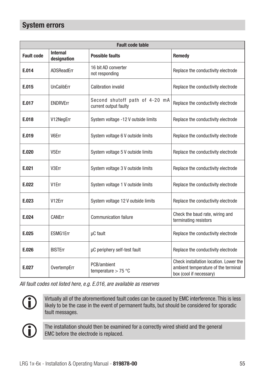| <b>Fault code table</b> |                                |                                                         |                                                                                                          |
|-------------------------|--------------------------------|---------------------------------------------------------|----------------------------------------------------------------------------------------------------------|
| <b>Fault code</b>       | <b>Internal</b><br>designation | <b>Possible faults</b>                                  | Remedy                                                                                                   |
| E.014                   | <b>ADSReadErr</b>              | 16 bit AD converter<br>not responding                   | Replace the conductivity electrode                                                                       |
| E.015                   | <b>UnCalibErr</b>              | <b>Calibration invalid</b>                              | Replace the conductivity electrode                                                                       |
| E.017                   | <b>ENDRVErr</b>                | Second shutoff path of 4-20 mA<br>current output faulty | Replace the conductivity electrode                                                                       |
| E.018                   | V12NegErr                      | System voltage -12 V outside limits                     | Replace the conductivity electrode                                                                       |
| E.019                   | V6Err                          | System voltage 6 V outside limits                       | Replace the conductivity electrode                                                                       |
| E.020                   | V <sub>5</sub> Err             | System voltage 5 V outside limits                       | Replace the conductivity electrode                                                                       |
| E.021                   | V3Err                          | System voltage 3 V outside limits                       | Replace the conductivity electrode                                                                       |
| E.022                   | V <sub>1</sub> Err             | System voltage 1 V outside limits                       | Replace the conductivity electrode                                                                       |
| E.023                   | V12Err                         | System voltage 12 V outside limits                      | Replace the conductivity electrode                                                                       |
| E.024                   | <b>CANErr</b>                  | <b>Communication failure</b>                            | Check the baud rate, wiring and<br>terminating resistors                                                 |
| E.025                   | <b>ESMG1Err</b>                | µC fault                                                | Replace the conductivity electrode                                                                       |
| E.026                   | <b>BISTErr</b>                 | µC periphery self-test fault                            | Replace the conductivity electrode                                                                       |
| E.027                   | OvertempErr                    | PCB/ambient<br>temperature $> 75$ °C                    | Check installation location. Lower the<br>ambient temperature of the terminal<br>box (cool if necessary) |

*All fault codes not listed here, e.g. E.016, are available as reserves*

П

Virtually all of the aforementioned fault codes can be caused by EMC interference. This is less likely to be the case in the event of permanent faults, but should be considered for sporadic fault messages.



The installation should then be examined for a correctly wired shield and the general EMC before the electrode is replaced.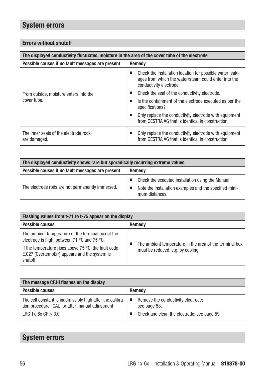#### Errors without shutoff

| The displayed conductivity fluctuates, moisture in the area of the cover tube of the electrode |                                                                                                                                             |  |
|------------------------------------------------------------------------------------------------|---------------------------------------------------------------------------------------------------------------------------------------------|--|
| Possible causes if no fault messages are present                                               | <b>Remedy</b>                                                                                                                               |  |
| From outside, moisture enters into the<br>cover tube.                                          | Check the installation location for possible water leak-<br>ages from which the water/steam could enter into the<br>conductivity electrode. |  |
|                                                                                                | Check the seal of the conductivity electrode.                                                                                               |  |
|                                                                                                | Is the containment of the electrode executed as per the<br>specifications?                                                                  |  |
|                                                                                                | Only replace the conductivity electrode with equipment<br>from GESTRA AG that is identical in construction.                                 |  |
| The inner seals of the electrode rods<br>are damaged.                                          | Only replace the conductivity electrode with equipment<br>from GESTRA AG that is identical in construction.                                 |  |

| The displayed conductivity shows rare but sporadically recurring extreme values. |                                                                                                                               |  |
|----------------------------------------------------------------------------------|-------------------------------------------------------------------------------------------------------------------------------|--|
| Possible causes if no fault messages are present<br><b>Remedy</b>                |                                                                                                                               |  |
| The electrode rods are not permanently immersed.                                 | Check the executed installation using the Manual.<br>Note the installation examples and the specified mini-<br>mum distances. |  |

| Flashing values from t-71 to t-75 appear on the display                                                                                                                                                                         |                                                                                                   |  |
|---------------------------------------------------------------------------------------------------------------------------------------------------------------------------------------------------------------------------------|---------------------------------------------------------------------------------------------------|--|
| <b>Possible causes</b>                                                                                                                                                                                                          | <b>Remedy</b>                                                                                     |  |
| The ambient temperature of the terminal box of the<br>electrode is high, between 71 °C and 75 °C.<br>If the temperature rises above 75 $\degree$ C, the fault code<br>E.027 (OvertempErr) appears and the system is<br>shutoff. | The ambient temperature in the area of the terminal box<br>ш<br>must be reduced, e.g. by cooling. |  |

| The message CF.Hi flashes on the display                                                                     |                                                    |  |
|--------------------------------------------------------------------------------------------------------------|----------------------------------------------------|--|
| <b>Possible causes</b>                                                                                       | Remedy                                             |  |
| The cell constant is inadmissibly high after the calibra-<br>tion procedure "CAL" or after manual adjustment | Remove the conductivity electrode;<br>see page 58. |  |
| LRG 1x-6x $CF > 3.0$                                                                                         | Check and clean the electrode; see page 59         |  |

# System errors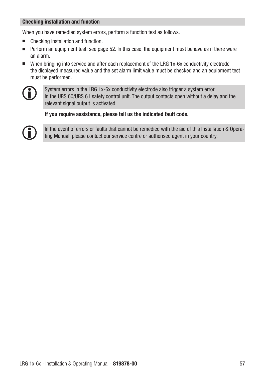#### Checking installation and function

When you have remedied system errors, perform a function test as follows.

- Checking installation and function.
- Perform an equipment test; see page 52. In this case, the equipment must behave as if there were an alarm.
- When bringing into service and after each replacement of the LRG 1x-6x conductivity electrode the displayed measured value and the set alarm limit value must be checked and an equipment test must be performed.



System errors in the LRG 1x-6x conductivity electrode also trigger a system error in the URS 60/URS 61 safety control unit. The output contacts open without a delay and the relevant signal output is activated.

If you require assistance, please tell us the indicated fault code.



In the event of errors or faults that cannot be remedied with the aid of this Installation & Operating Manual, please contact our service centre or authorised agent in your country.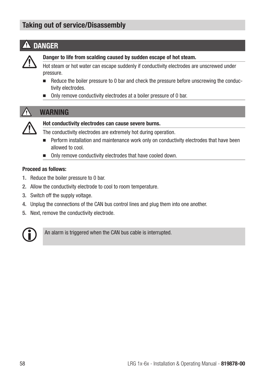# Taking out of service/Disassembly

# **A** DANGER



#### Danger to life from scalding caused by sudden escape of hot steam.

Hot steam or hot water can escape suddenly if conductivity electrodes are unscrewed under pressure.

- Reduce the boiler pressure to 0 bar and check the pressure before unscrewing the conductivity electrodes.
- Only remove conductivity electrodes at a boiler pressure of 0 bar.

### WARNING



#### Hot conductivity electrodes can cause severe burns.

The conductivity electrodes are extremely hot during operation.

- Perform installation and maintenance work only on conductivity electrodes that have been allowed to cool.
- Only remove conductivity electrodes that have cooled down.

#### Proceed as follows:

- 1. Reduce the boiler pressure to 0 bar.
- 2. Allow the conductivity electrode to cool to room temperature.
- 3. Switch off the supply voltage.
- 4. Unplug the connections of the CAN bus control lines and plug them into one another.
- 5. Next, remove the conductivity electrode.



An alarm is triggered when the CAN bus cable is interrupted.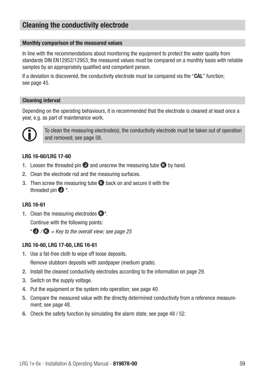# Cleaning the conductivity electrode

#### Monthly comparison of the measured values

In line with the recommendations about monitoring the equipment to protect the water quality from standards DIN EN12952/12953, the measured values must be compared on a monthly basis with reliable samples by an appropriately qualified and competent person.

If a deviation is discovered, the conductivity electrode must be compared via the "CAL" function; see page 45.

#### Cleaning interval

Depending on the operating behaviours, it is recommended that the electrode is cleaned at least once a year, e.g. as part of maintenance work.



To clean the measuring electrode(s), the conductivity electrode must be taken out of operation and removed; see page 58.

#### LRG 16-60/LRG 17-60

- 1. Loosen the threaded pin  $\bullet$  and unscrew the measuring tube  $\bullet$  by hand.
- 2. Clean the electrode rod and the measuring surfaces.
- 3. Then screw the measuring tube  $\Omega$  back on and secure it with the threaded pin  $\mathbf{O}^*$ .

#### LRG 16-61

1. Clean the measuring electrodes  $\mathbf{R}^*$ .

Continue with the following points:

 $*$   $\bullet$  */*  $\bullet$  = Key to the overall view; see page 25

#### LRG 16-60, LRG 17-60, LRG 16-61

1. Use a fat-free cloth to wipe off loose deposits.

Remove stubborn deposits with sandpaper (medium grade).

- 2. Install the cleaned conductivity electrodes according to the information on page 29.
- 3. Switch on the supply voltage.
- 4. Put the equipment or the system into operation; see page 40.
- 5. Compare the measured value with the directly determined conductivity from a reference measurement; see page 48.
- 6. Check the safety function by simulating the alarm state; see page 48 / 52.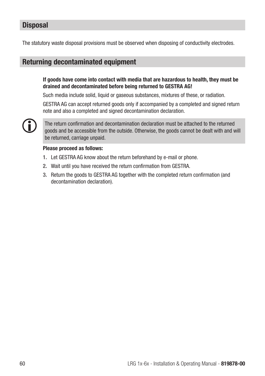### **Disposal**

The statutory waste disposal provisions must be observed when disposing of conductivity electrodes.

### Returning decontaminated equipment

#### If goods have come into contact with media that are hazardous to health, they must be drained and decontaminated before being returned to GESTRA AG!

Such media include solid, liquid or gaseous substances, mixtures of these, or radiation.

GESTRA AG can accept returned goods only if accompanied by a completed and signed return note and also a completed and signed decontamination declaration.



The return confirmation and decontamination declaration must be attached to the returned goods and be accessible from the outside. Otherwise, the goods cannot be dealt with and will be returned, carriage unpaid.

#### Please proceed as follows:

- 1. Let GESTRA AG know about the return beforehand by e-mail or phone.
- 2. Wait until you have received the return confirmation from GESTRA.
- 3. Return the goods to GESTRA AG together with the completed return confirmation (and decontamination declaration).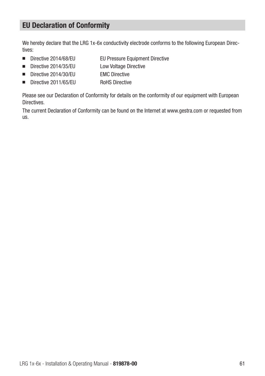# EU Declaration of Conformity

We hereby declare that the LRG 1x-6x conductivity electrode conforms to the following European Directives:

- Directive 2014/68/EU EU Pressure Equipment Directive
- Directive 2014/35/EU Low Voltage Directive
- Directive 2014/30/EU EMC Directive
- Directive 2011/65/EU RoHS Directive

Please see our Declaration of Conformity for details on the conformity of our equipment with European Directives.

The current Declaration of Conformity can be found on the Internet at www.gestra.com or requested from us.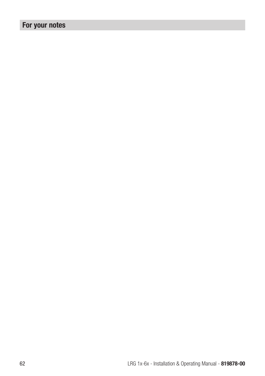# For your notes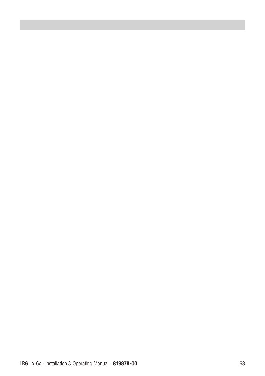LRG 1x-6x - Installation & Operating Manual - 819878-00 63